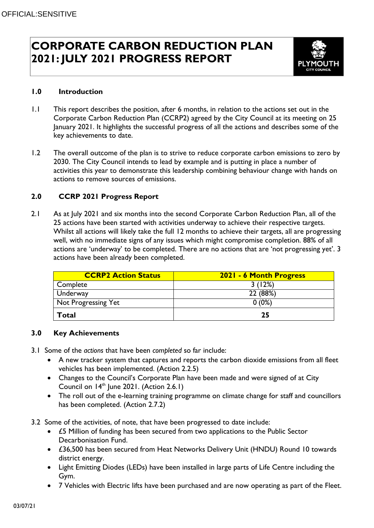# **CORPORATE CARBON REDUCTION PLAN 2021: JULY 2021 PROGRESS REPORT**



#### **1.0 Introduction**

- 1.1 This report describes the position, after 6 months, in relation to the actions set out in the Corporate Carbon Reduction Plan (CCRP2) agreed by the City Council at its meeting on 25 January 2021. It highlights the successful progress of all the actions and describes some of the key achievements to date.
- 1.2 The overall outcome of the plan is to strive to reduce corporate carbon emissions to zero by 2030. The City Council intends to lead by example and is putting in place a number of activities this year to demonstrate this leadership combining behaviour change with hands on actions to remove sources of emissions.

## **2.0 CCRP 2021 Progress Report**

2.1 As at July 2021 and six months into the second Corporate Carbon Reduction Plan, all of the 25 actions have been started with activities underway to achieve their respective targets. Whilst all actions will likely take the full 12 months to achieve their targets, all are progressing well, with no immediate signs of any issues which might compromise completion. 88% of all actions are 'underway' to be completed. There are no actions that are 'not progressing yet'. 3 actions have been already been completed.

| <b>CCRP2 Action Status</b> | 2021 - 6 Month Progress |
|----------------------------|-------------------------|
| Complete                   | 3(12%)                  |
| Underway                   | 22 (88%)                |
| Not Progressing Yet        | $0(0\%)$                |
| Total                      | 25                      |

### **3.0 Key Achievements**

- 3.1 Some of the *actions* that have been *completed* so far include:
	- A new tracker system that captures and reports the carbon dioxide emissions from all fleet vehicles has been implemented. (Action 2.2.5)
	- Changes to the Council's Corporate Plan have been made and were signed of at City Council on  $14<sup>th</sup>$  June 2021. (Action 2.6.1)
	- The roll out of the e-learning training programme on climate change for staff and councillors has been completed. (Action 2.7.2)
- 3.2 Some of the activities, of note, that have been progressed to date include:
	- £5 Million of funding has been secured from two applications to the Public Sector Decarbonisation Fund.
	- £36,500 has been secured from Heat Networks Delivery Unit (HNDU) Round 10 towards district energy.
	- Light Emitting Diodes (LEDs) have been installed in large parts of Life Centre including the Gym.
	- 7 Vehicles with Electric lifts have been purchased and are now operating as part of the Fleet.